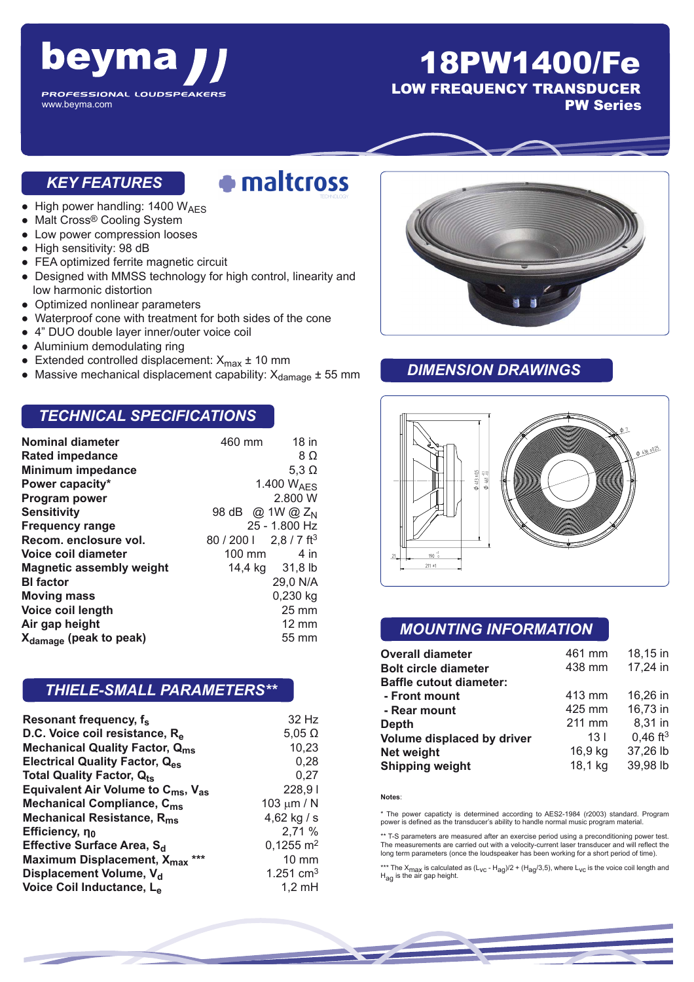

## 18PW1400/Fe

LOW FREQUENCY TRANSDUCER

PW Series

#### *KEY FEATURES*

# · maltcross

- $\bullet$  High power handling: 1400 W<sub>AES</sub>
- Malt Cross® Cooling System
- Low power compression looses
- High sensitivity: 98 dB
- FEA optimized ferrite magnetic circuit
- Designed with MMSS technology for high control, linearity and low harmonic distortion
- Optimized nonlinear parameters
- Waterproof cone with treatment for both sides of the cone
- 4" DUO double layer inner/outer voice coil
- Aluminium demodulating ring
- Extended controlled displacement:  $X_{\text{max}} \pm 10 \text{ mm}$
- Massive mechanical displacement capability:  $X_{\text{damage}} \pm 55 \text{ mm}$

#### *TECHNICAL SPECIFICATIONS*

| <b>Nominal diameter</b>            | 460 mm                      | $18$ in                 |
|------------------------------------|-----------------------------|-------------------------|
| <b>Rated impedance</b>             |                             | 8Ω                      |
| <b>Minimum impedance</b>           |                             | 5,3 $\Omega$            |
| Power capacity*                    | 1.400 W <sub>AFS</sub>      |                         |
| Program power                      |                             | 2.800 W                 |
| <b>Sensitivity</b>                 | 98 dB @ 1W @ Z <sub>N</sub> |                         |
| <b>Frequency range</b>             | 25 - 1.800 Hz               |                         |
| Recom, enclosure vol.              | 80 / 200                    | $2.8/7$ ft <sup>3</sup> |
| Voice coil diameter                | 100 mm                      | $4$ in                  |
| Magnetic assembly weight           | 14,4 kg 31,8 lb             |                         |
| <b>BI</b> factor                   |                             | 29,0 N/A                |
| <b>Moving mass</b>                 |                             | 0,230 kg                |
| Voice coil length                  |                             | $25 \text{ mm}$         |
| Air gap height                     |                             | $12 \text{ mm}$         |
| X <sub>damage</sub> (peak to peak) |                             | 55 mm                   |

#### *THIELE-SMALL PARAMETERS\*\**

| Resonant frequency, f <sub>s</sub>                         | 32 Hz                   |
|------------------------------------------------------------|-------------------------|
| D.C. Voice coil resistance, Re                             | $5,05 \Omega$           |
| <b>Mechanical Quality Factor, Qms</b>                      | 10,23                   |
| <b>Electrical Quality Factor, Q<sub>es</sub></b>           | 0,28                    |
| Total Quality Factor, Q <sub>ts</sub>                      | 0,27                    |
| Equivalent Air Volume to $C_{\text{ms}}$ , $V_{\text{as}}$ | 228,91                  |
| Mechanical Compliance, C <sub>ms</sub>                     | 103 $\mu$ m / N         |
| Mechanical Resistance, R <sub>ms</sub>                     | 4,62 kg / s             |
| Efficiency, $\eta_0$                                       | 2,71 %                  |
| Effective Surface Area, S <sub>d</sub>                     | $0,1255$ m <sup>2</sup> |
| Maximum Displacement, X <sub>max</sub> ***                 | $10 \text{ mm}$         |
| Displacement Volume, V <sub>d</sub>                        | 1.251 $cm3$             |
| Voice Coil Inductance, L <sub>e</sub>                      | $1,2 \text{ mH}$        |



#### *DIMENSION DRAWINGS*



#### *MOUNTING INFORMATION*

| <b>Overall diameter</b>        | 461 mm          | 18,15 in               |
|--------------------------------|-----------------|------------------------|
| <b>Bolt circle diameter</b>    | 438 mm          | 17,24 in               |
| <b>Baffle cutout diameter:</b> |                 |                        |
| - Front mount                  | 413 mm          | 16,26 in               |
| - Rear mount                   | 425 mm          | 16,73 in               |
| <b>Depth</b>                   | 211 mm          | 8,31 in                |
| Volume displaced by driver     | 13 <sub>l</sub> | $0,46$ ft <sup>3</sup> |
| Net weight                     | 16,9 kg         | 37,26 lb               |
| <b>Shipping weight</b>         | 18,1 kg         | 39,98 lb               |

**Notes**:

\* The power capaticty is determined according to AES2-1984 (r2003) standard. Program power is defined as the transducer's ability to handle normal music program material.

\*\* T-S parameters are measured after an exercise period using a preconditioning power test. The measurements are carried out with a velocity-current laser transducer and will reflect the long term parameters (once the loudspeaker has been working for a short period of time).

\*\*\* The X<sub>max</sub> is calculated as (L<sub>VC</sub> - H<sub>ag</sub>)/2 + (H<sub>ag</sub>/3,5), where L<sub>VC</sub> is the voice coil length and<br>H<sub>ag</sub> is the air gap height.